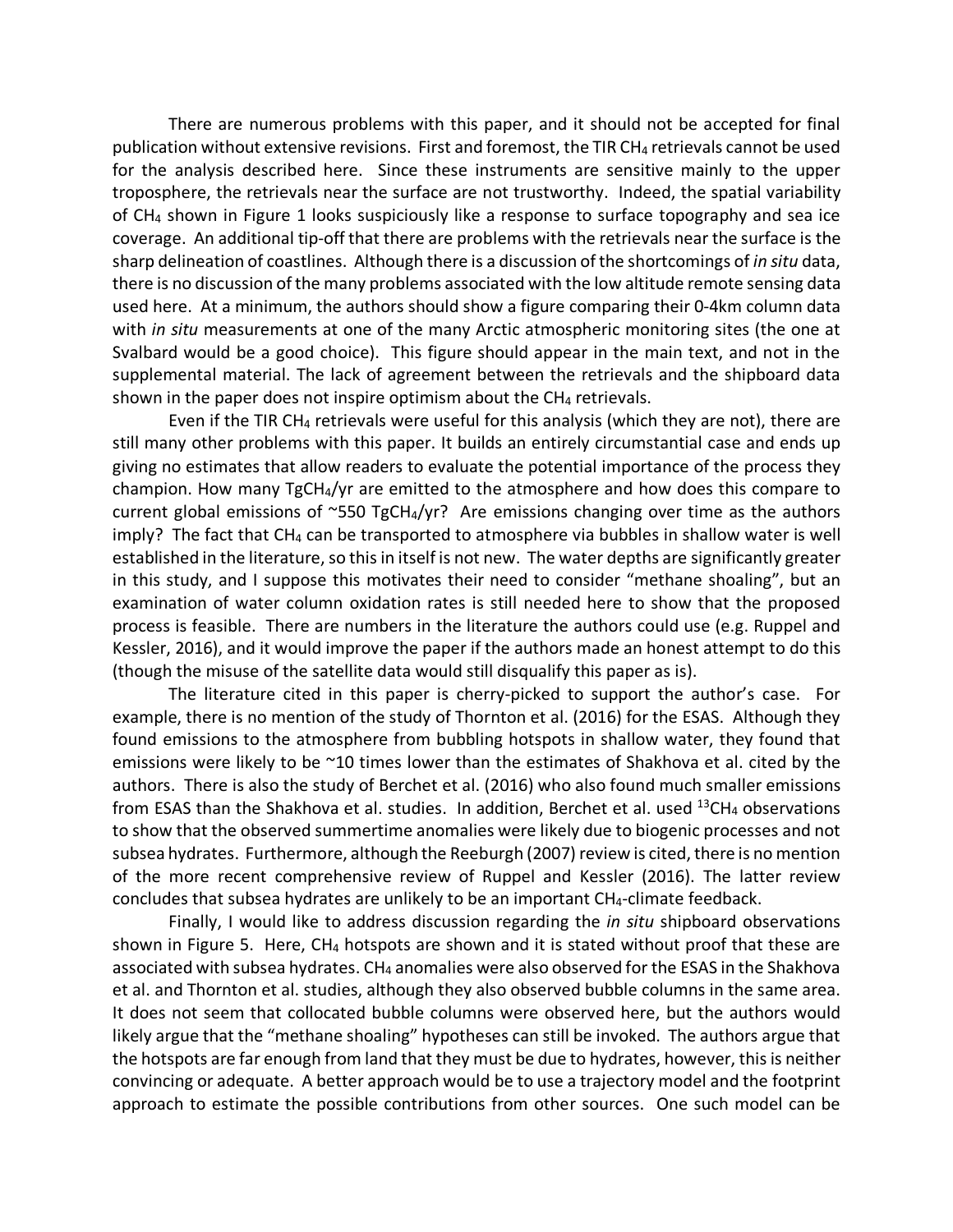There are numerous problems with this paper, and it should not be accepted for final publication without extensive revisions. First and foremost, the TIR CH4 retrievals cannot be used for the analysis described here. Since these instruments are sensitive mainly to the upper troposphere, the retrievals near the surface are not trustworthy. Indeed, the spatial variability of CH4 shown in Figure 1 looks suspiciously like a response to surface topography and sea ice coverage. An additional tip-off that there are problems with the retrievals near the surface is the sharp delineation of coastlines. Although there is a discussion of the shortcomings of *in situ* data, there is no discussion of the many problems associated with the low altitude remote sensing data used here. At a minimum, the authors should show a figure comparing their 0-4km column data with *in situ* measurements at one of the many Arctic atmospheric monitoring sites (the one at Svalbard would be a good choice). This figure should appear in the main text, and not in the supplemental material. The lack of agreement between the retrievals and the shipboard data shown in the paper does not inspire optimism about the  $CH<sub>4</sub>$  retrievals.

Even if the TIR CH<sub>4</sub> retrievals were useful for this analysis (which they are not), there are still many other problems with this paper. It builds an entirely circumstantial case and ends up giving no estimates that allow readers to evaluate the potential importance of the process they champion. How many TgCH4/yr are emitted to the atmosphere and how does this compare to current global emissions of  $\sim$ 550 TgCH<sub>4</sub>/yr? Are emissions changing over time as the authors imply? The fact that CH4 can be transported to atmosphere via bubbles in shallow water is well established in the literature, so this in itself is not new. The water depths are significantly greater in this study, and I suppose this motivates their need to consider "methane shoaling", but an examination of water column oxidation rates is still needed here to show that the proposed process is feasible. There are numbers in the literature the authors could use (e.g. Ruppel and Kessler, 2016), and it would improve the paper if the authors made an honest attempt to do this (though the misuse of the satellite data would still disqualify this paper as is).

The literature cited in this paper is cherry-picked to support the author's case. For example, there is no mention of the study of Thornton et al. (2016) for the ESAS. Although they found emissions to the atmosphere from bubbling hotspots in shallow water, they found that emissions were likely to be ~10 times lower than the estimates of Shakhova et al. cited by the authors. There is also the study of Berchet et al. (2016) who also found much smaller emissions from ESAS than the Shakhova et al. studies. In addition, Berchet et al. used  $^{13}CH_4$  observations to show that the observed summertime anomalies were likely due to biogenic processes and not subsea hydrates. Furthermore, although the Reeburgh (2007) review is cited, there is no mention of the more recent comprehensive review of Ruppel and Kessler (2016). The latter review concludes that subsea hydrates are unlikely to be an important CH4-climate feedback.

Finally, I would like to address discussion regarding the *in situ* shipboard observations shown in Figure 5. Here, CH4 hotspots are shown and it is stated without proof that these are associated with subsea hydrates. CH<sub>4</sub> anomalies were also observed for the ESAS in the Shakhova et al. and Thornton et al. studies, although they also observed bubble columns in the same area. It does not seem that collocated bubble columns were observed here, but the authors would likely argue that the "methane shoaling" hypotheses can still be invoked. The authors argue that the hotspots are far enough from land that they must be due to hydrates, however, this is neither convincing or adequate. A better approach would be to use a trajectory model and the footprint approach to estimate the possible contributions from other sources. One such model can be